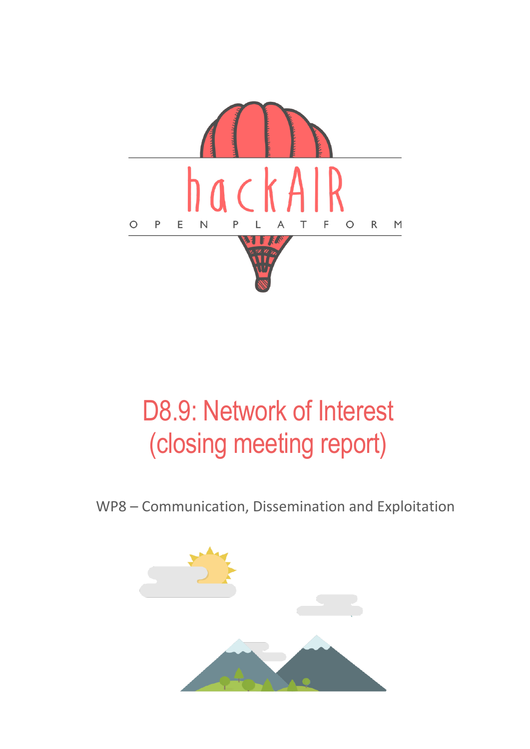

# D8.9: Network of Interest (closing meeting report)

WP8 – Communication, Dissemination and Exploitation

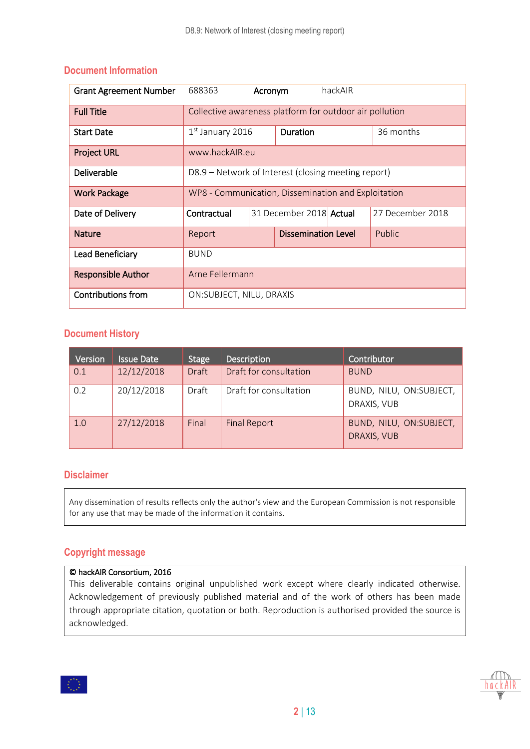| <b>Grant Agreement Number</b> | 688363                                                  | Acronym |                         | hackAIR |                  |
|-------------------------------|---------------------------------------------------------|---------|-------------------------|---------|------------------|
| <b>Full Title</b>             | Collective awareness platform for outdoor air pollution |         |                         |         |                  |
| <b>Start Date</b>             | $1st$ January 2016                                      |         | Duration                |         | 36 months        |
| <b>Project URL</b>            | www.hackAIR.eu                                          |         |                         |         |                  |
| Deliverable                   | D8.9 – Network of Interest (closing meeting report)     |         |                         |         |                  |
| <b>Work Package</b>           | WP8 - Communication, Dissemination and Exploitation     |         |                         |         |                  |
| Date of Delivery              | Contractual                                             |         | 31 December 2018 Actual |         | 27 December 2018 |
| <b>Nature</b>                 | Report                                                  |         | Dissemination Level     |         | Public           |
| Lead Beneficiary              | <b>BUND</b>                                             |         |                         |         |                  |
| <b>Responsible Author</b>     | Arne Fellermann                                         |         |                         |         |                  |
| <b>Contributions from</b>     | ON: SUBJECT, NILU, DRAXIS                               |         |                         |         |                  |

#### **Document Information**

#### **Document History**

| Version | <b>Issue Date</b> | <b>Stage</b> | <b>Description</b>     | Contributor                            |
|---------|-------------------|--------------|------------------------|----------------------------------------|
| 0.1     | 12/12/2018        | <b>Draft</b> | Draft for consultation | <b>BUND</b>                            |
| 0.2     | 20/12/2018        | Draft        | Draft for consultation | BUND, NILU, ON:SUBJECT,<br>DRAXIS, VUB |
| 1.0     | 27/12/2018        | Final        | <b>Final Report</b>    | BUND, NILU, ON:SUBJECT,<br>DRAXIS, VUB |

#### **Disclaimer**

Any dissemination of results reflects only the author's view and the European Commission is not responsible for any use that may be made of the information it contains.

#### **Copyright message**

#### © hackAIR Consortium, 2016

This deliverable contains original unpublished work except where clearly indicated otherwise. Acknowledgement of previously published material and of the work of others has been made through appropriate citation, quotation or both. Reproduction is authorised provided the source is acknowledged.

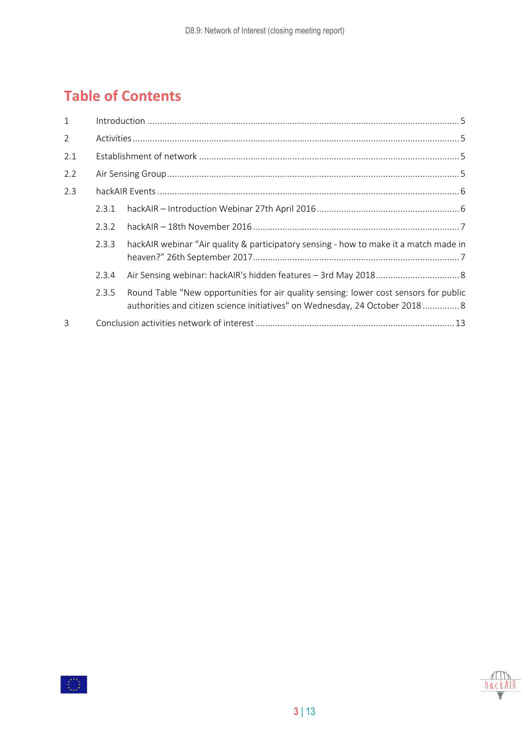### **Table of Contents**

| $\mathbf{1}$   |       |                                                                                                                                                                       |  |
|----------------|-------|-----------------------------------------------------------------------------------------------------------------------------------------------------------------------|--|
| $\overline{2}$ |       |                                                                                                                                                                       |  |
| 2.1            |       |                                                                                                                                                                       |  |
| 2.2            |       |                                                                                                                                                                       |  |
| 2.3            |       |                                                                                                                                                                       |  |
|                | 2.3.1 |                                                                                                                                                                       |  |
|                | 2.3.2 |                                                                                                                                                                       |  |
|                | 2.3.3 | hackAIR webinar "Air quality & participatory sensing - how to make it a match made in                                                                                 |  |
|                | 2.3.4 |                                                                                                                                                                       |  |
|                | 2.3.5 | Round Table "New opportunities for air quality sensing: lower cost sensors for public<br>authorities and citizen science initiatives" on Wednesday, 24 October 2018 8 |  |
| 3              |       |                                                                                                                                                                       |  |

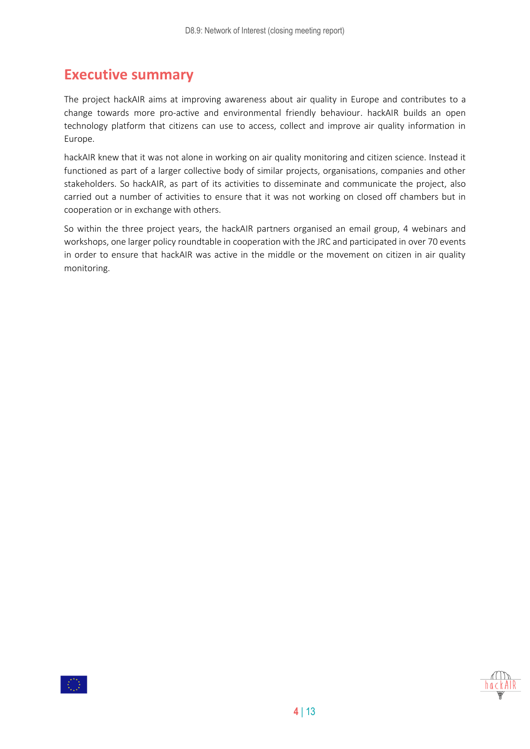### **Executive summary**

The project hackAIR aims at improving awareness about air quality in Europe and contributes to a change towards more pro-active and environmental friendly behaviour. hackAIR builds an open technology platform that citizens can use to access, collect and improve air quality information in Europe.

hackAIR knew that it was not alone in working on air quality monitoring and citizen science. Instead it functioned as part of a larger collective body of similar projects, organisations, companies and other stakeholders. So hackAIR, as part of its activities to disseminate and communicate the project, also carried out a number of activities to ensure that it was not working on closed off chambers but in cooperation or in exchange with others.

So within the three project years, the hackAIR partners organised an email group, 4 webinars and workshops, one larger policy roundtable in cooperation with the JRC and participated in over 70 events in order to ensure that hackAIR was active in the middle or the movement on citizen in air quality monitoring.

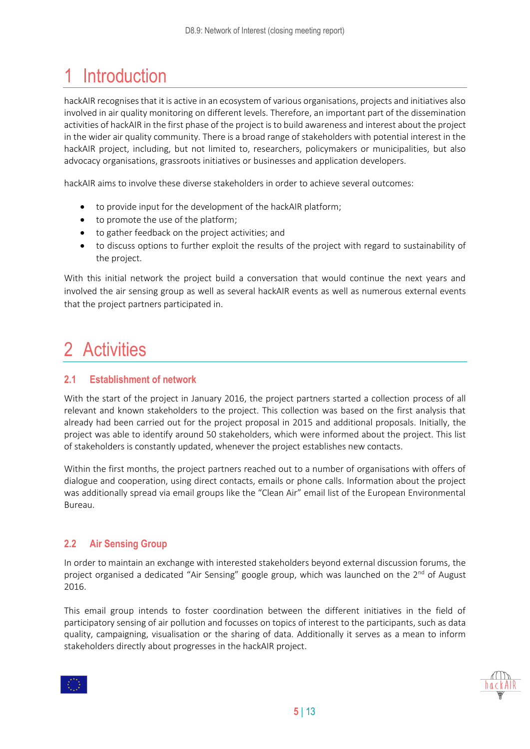## <span id="page-4-0"></span>1 Introduction

hackAIR recognises that it is active in an ecosystem of various organisations, projects and initiatives also involved in air quality monitoring on different levels. Therefore, an important part of the dissemination activities of hackAIR in the first phase of the project is to build awareness and interest about the project in the wider air quality community. There is a broad range of stakeholders with potential interest in the hackAIR project, including, but not limited to, researchers, policymakers or municipalities, but also advocacy organisations, grassroots initiatives or businesses and application developers.

hackAIR aims to involve these diverse stakeholders in order to achieve several outcomes:

- to provide input for the development of the hackAIR platform;
- to promote the use of the platform;
- to gather feedback on the project activities; and
- to discuss options to further exploit the results of the project with regard to sustainability of the project.

With this initial network the project build a conversation that would continue the next years and involved the air sensing group as well as several hackAIR events as well as numerous external events that the project partners participated in.

### <span id="page-4-1"></span>2 Activities

#### <span id="page-4-2"></span>**2.1 Establishment of network**

With the start of the project in January 2016, the project partners started a collection process of all relevant and known stakeholders to the project. This collection was based on the first analysis that already had been carried out for the project proposal in 2015 and additional proposals. Initially, the project was able to identify around 50 stakeholders, which were informed about the project. This list of stakeholders is constantly updated, whenever the project establishes new contacts.

Within the first months, the project partners reached out to a number of organisations with offers of dialogue and cooperation, using direct contacts, emails or phone calls. Information about the project was additionally spread via email groups like the "Clean Air" email list of the European Environmental Bureau.

#### <span id="page-4-3"></span>**2.2 Air Sensing Group**

In order to maintain an exchange with interested stakeholders beyond external discussion forums, the project organised a dedicated "Air Sensing" google group, which was launched on the 2<sup>nd</sup> of August 2016.

This email group intends to foster coordination between the different initiatives in the field of participatory sensing of air pollution and focusses on topics of interest to the participants, such as data quality, campaigning, visualisation or the sharing of data. Additionally it serves as a mean to inform stakeholders directly about progresses in the hackAIR project.

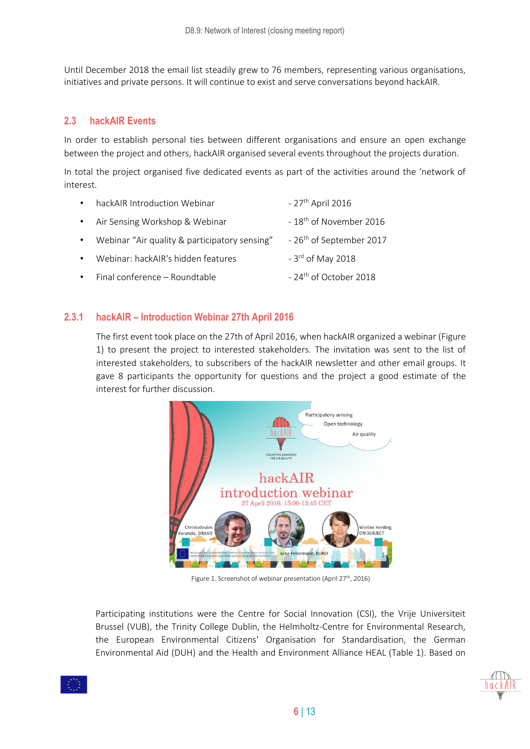<span id="page-5-0"></span>Until December 2018 the email list steadily grew to 76 members, representing various organisations, initiatives and private persons. It will continue to exist and serve conversations beyond hackAIR.

#### **2.3 hackAIR Events**

In order to establish personal ties between different organisations and ensure an open exchange between the project and others, hackAIR organised several events throughout the projects duration.

In total the project organised five dedicated events as part of the activities around the 'network of interest.

| $\bullet$ | hackAIR Introduction Webinar                  | $-27$ <sup>th</sup> April 2016       |
|-----------|-----------------------------------------------|--------------------------------------|
|           | • Air Sensing Workshop & Webinar              | - 18 <sup>th</sup> of November 2016  |
| $\bullet$ | Webinar "Air quality & participatory sensing" | - 26 <sup>th</sup> of September 2017 |
| $\bullet$ | Webinar: hackAIR's hidden features            | - 3 <sup>rd</sup> of May 2018        |
|           | • Final conference - Roundtable               | - 24 <sup>th</sup> of October 2018   |

#### <span id="page-5-1"></span>**2.3.1 hackAIR – Introduction Webinar 27th April 2016**

The first event took place on the 27th of April 2016, when hackAIR organized a webinar (Figure 1) to present the project to interested stakeholders. The invitation was sent to the list of interested stakeholders, to subscribers of the hackAIR newsletter and other email groups. It gave 8 participants the opportunity for questions and the project a good estimate of the interest for further discussion.



Figure 1. Screenshot of webinar presentation (April 27<sup>th</sup>, 2016)

Participating institutions were the Centre for Social Innovation (CSI), the Vrije Universiteit Brussel (VUB), the Trinity College Dublin, the Helmholtz-Centre for Environmental Research, the European Environmental Citizens' Organisation for Standardisation, the German Environmental Aid (DUH) and the Health and Environment Alliance HEAL (Table 1). Based on

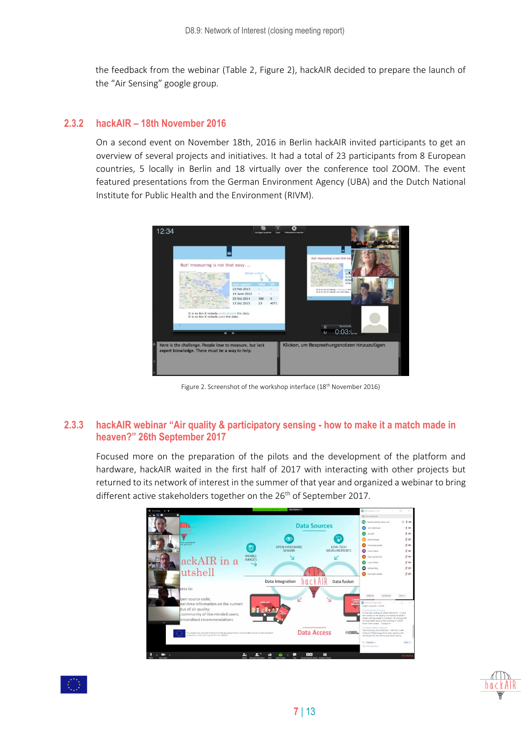the feedback from the webinar (Table 2, Figure 2), hackAIR decided to prepare the launch of the "Air Sensing" google group.

#### <span id="page-6-0"></span>**2.3.2 hackAIR – 18th November 2016**

On a second event on November 18th, 2016 in Berlin hackAIR invited participants to get an overview of several projects and initiatives. It had a total of 23 participants from 8 European countries, 5 locally in Berlin and 18 virtually over the conference tool ZOOM. The event featured presentations from the German Environment Agency (UBA) and the Dutch National Institute for Public Health and the Environment (RIVM).



Figure 2. Screenshot of the workshop interface (18<sup>th</sup> November 2016)

#### <span id="page-6-1"></span>**2.3.3 hackAIR webinar "Air quality & participatory sensing - how to make it a match made in heaven?" 26th September 2017**

Focused more on the preparation of the pilots and the development of the platform and hardware, hackAIR waited in the first half of 2017 with interacting with other projects but returned to its network of interest in the summer of that year and organized a webinar to bring different active stakeholders together on the 26<sup>th</sup> of September 2017.



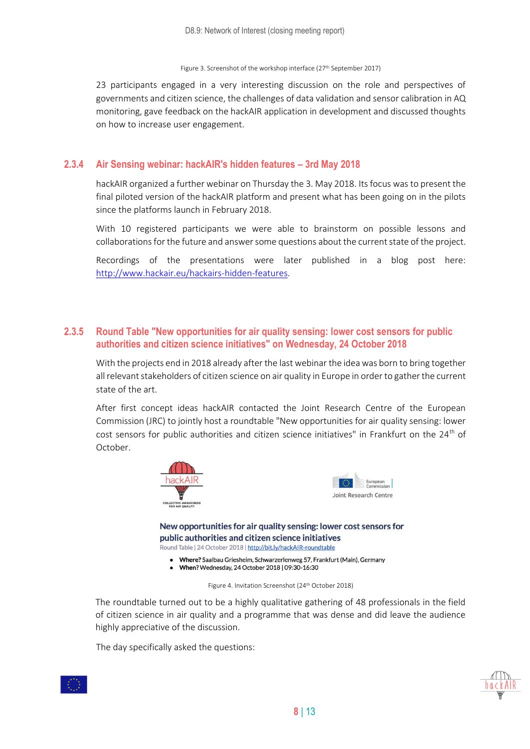#### Figure 3. Screenshot of the workshop interface (27<sup>th</sup> September 2017)

23 participants engaged in a very interesting discussion on the role and perspectives of governments and citizen science, the challenges of data validation and sensor calibration in AQ monitoring, gave feedback on the hackAIR application in development and discussed thoughts on how to increase user engagement.

#### <span id="page-7-0"></span>**2.3.4 Air Sensing webinar: hackAIR's hidden features – 3rd May 2018**

hackAIR organized a further webinar on Thursday the 3. May 2018. Its focus was to present the final piloted version of the hackAIR platform and present what has been going on in the pilots since the platforms launch in February 2018.

With 10 registered participants we were able to brainstorm on possible lessons and collaborations for the future and answer some questions about the current state of the project.

Recordings of the presentations were later published in a blog post here: [http://www.hackair.eu/hackairs-hidden-features.](http://www.hackair.eu/hackairs-hidden-features)

#### <span id="page-7-1"></span>**2.3.5 Round Table "New opportunities for air quality sensing: lower cost sensors for public authorities and citizen science initiatives" on Wednesday, 24 October 2018**

With the projects end in 2018 already after the last webinar the idea was born to bring together all relevant stakeholders of citizen science on air quality in Europe in order to gather the current state of the art.

After first concept ideas hackAIR contacted the Joint Research Centre of the European Commission (JRC) to jointly host a roundtable "New opportunities for air quality sensing: lower cost sensors for public authorities and citizen science initiatives" in Frankfurt on the 24<sup>th</sup> of October.





New opportunities for air quality sensing: lower cost sensors for public authorities and citizen science initiatives Round Table | 24 October 2018 | http://bit.ly/hackAIR-roundtable

- Where? Saalbau Griesheim, Schwarzerlenweg 57, Frankfurt (Main), Germany
- When? Wednesday, 24 October 2018 | 09:30-16:30

Figure 4. Invitation Screenshot (24<sup>th</sup> October 2018)

The roundtable turned out to be a highly qualitative gathering of 48 professionals in the field of citizen science in air quality and a programme that was dense and did leave the audience highly appreciative of the discussion.

The day specifically asked the questions:

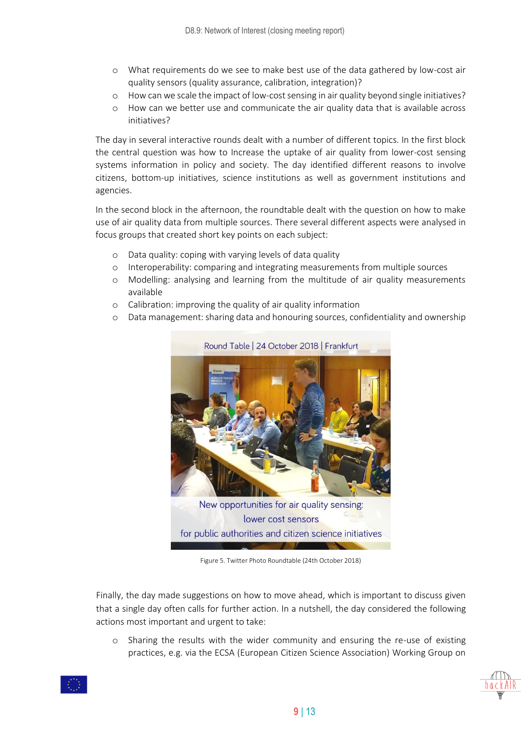- o What requirements do we see to make best use of the data gathered by low-cost air quality sensors (quality assurance, calibration, integration)?
- o How can we scale the impact of low-cost sensing in air quality beyond single initiatives?
- o How can we better use and communicate the air quality data that is available across initiatives?

The day in several interactive rounds dealt with a number of different topics. In the first block the central question was how to Increase the uptake of air quality from lower-cost sensing systems information in policy and society. The day identified different reasons to involve citizens, bottom-up initiatives, science institutions as well as government institutions and agencies.

In the second block in the afternoon, the roundtable dealt with the question on how to make use of air quality data from multiple sources. There several different aspects were analysed in focus groups that created short key points on each subject:

- o Data quality: coping with varying levels of data quality
- o Interoperability: comparing and integrating measurements from multiple sources
- o Modelling: analysing and learning from the multitude of air quality measurements available
- o Calibration: improving the quality of air quality information
- o Data management: sharing data and honouring sources, confidentiality and ownership



Figure 5. Twitter Photo Roundtable (24th October 2018)

Finally, the day made suggestions on how to move ahead, which is important to discuss given that a single day often calls for further action. In a nutshell, the day considered the following actions most important and urgent to take:

o Sharing the results with the wider community and ensuring the re-use of existing practices, e.g. via the ECSA (European Citizen Science Association) Working Group on



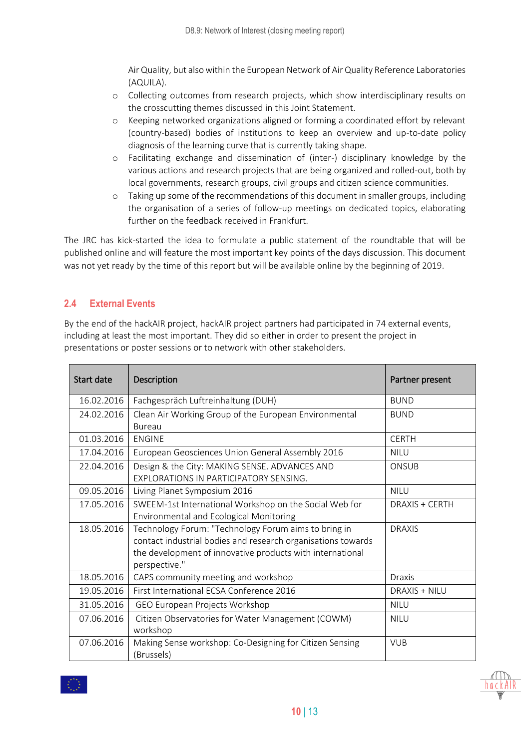Air Quality, but also within the European Network of Air Quality Reference Laboratories (AQUILA).

- o Collecting outcomes from research projects, which show interdisciplinary results on the crosscutting themes discussed in this Joint Statement.
- o Keeping networked organizations aligned or forming a coordinated effort by relevant (country-based) bodies of institutions to keep an overview and up-to-date policy diagnosis of the learning curve that is currently taking shape.
- o Facilitating exchange and dissemination of (inter-) disciplinary knowledge by the various actions and research projects that are being organized and rolled-out, both by local governments, research groups, civil groups and citizen science communities.
- o Taking up some of the recommendations of this document in smaller groups, including the organisation of a series of follow-up meetings on dedicated topics, elaborating further on the feedback received in Frankfurt.

The JRC has kick-started the idea to formulate a public statement of the roundtable that will be published online and will feature the most important key points of the days discussion. This document was not yet ready by the time of this report but will be available online by the beginning of 2019.

#### **2.4 External Events**

By the end of the hackAIR project, hackAIR project partners had participated in 74 external events, including at least the most important. They did so either in order to present the project in presentations or poster sessions or to network with other stakeholders.

| Start date | Description                                                  | Partner present |
|------------|--------------------------------------------------------------|-----------------|
| 16.02.2016 | Fachgespräch Luftreinhaltung (DUH)                           | <b>BUND</b>     |
| 24.02.2016 | Clean Air Working Group of the European Environmental        | <b>BUND</b>     |
|            | <b>Bureau</b>                                                |                 |
| 01.03.2016 | <b>ENGINE</b>                                                | <b>CERTH</b>    |
| 17.04.2016 | European Geosciences Union General Assembly 2016             | <b>NILU</b>     |
| 22.04.2016 | Design & the City: MAKING SENSE. ADVANCES AND                | ONSUB           |
|            | EXPLORATIONS IN PARTICIPATORY SENSING.                       |                 |
| 09.05.2016 | Living Planet Symposium 2016                                 | <b>NILU</b>     |
| 17.05.2016 | SWEEM-1st International Workshop on the Social Web for       | DRAXIS + CERTH  |
|            | Environmental and Ecological Monitoring                      |                 |
| 18.05.2016 | Technology Forum: "Technology Forum aims to bring in         | <b>DRAXIS</b>   |
|            | contact industrial bodies and research organisations towards |                 |
|            | the development of innovative products with international    |                 |
|            | perspective."                                                |                 |
| 18.05.2016 | CAPS community meeting and workshop                          | Draxis          |
| 19.05.2016 | First International ECSA Conference 2016                     | DRAXIS + NILU   |
| 31.05.2016 | GEO European Projects Workshop                               | <b>NILU</b>     |
| 07.06.2016 | Citizen Observatories for Water Management (COWM)            | <b>NILU</b>     |
|            | workshop                                                     |                 |
| 07.06.2016 | Making Sense workshop: Co-Designing for Citizen Sensing      | <b>VUB</b>      |
|            | (Brussels)                                                   |                 |

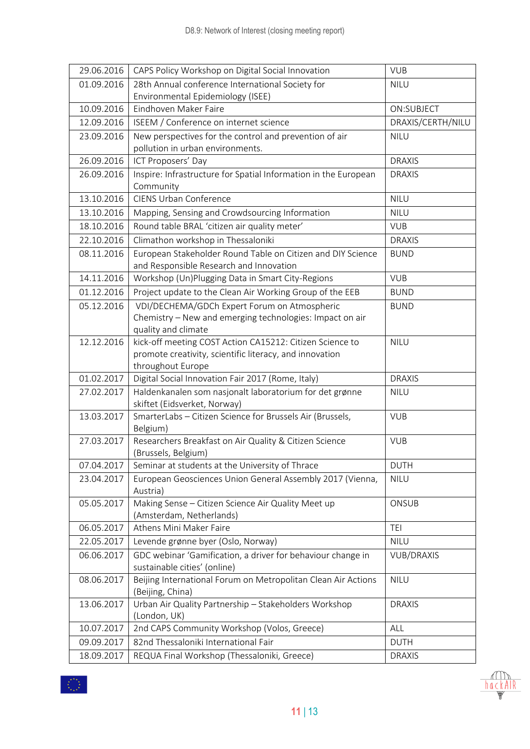| 29.06.2016 | CAPS Policy Workshop on Digital Social Innovation                                                      | <b>VUB</b>        |
|------------|--------------------------------------------------------------------------------------------------------|-------------------|
| 01.09.2016 | 28th Annual conference International Society for                                                       | <b>NILU</b>       |
|            | Environmental Epidemiology (ISEE)                                                                      |                   |
| 10.09.2016 | Eindhoven Maker Faire                                                                                  | ON:SUBJECT        |
| 12.09.2016 | ISEEM / Conference on internet science                                                                 | DRAXIS/CERTH/NILU |
| 23.09.2016 | New perspectives for the control and prevention of air                                                 | <b>NILU</b>       |
|            | pollution in urban environments.                                                                       |                   |
| 26.09.2016 | ICT Proposers' Day                                                                                     | <b>DRAXIS</b>     |
| 26.09.2016 | Inspire: Infrastructure for Spatial Information in the European<br>Community                           | <b>DRAXIS</b>     |
| 13.10.2016 | <b>CIENS Urban Conference</b>                                                                          | <b>NILU</b>       |
| 13.10.2016 | Mapping, Sensing and Crowdsourcing Information                                                         | <b>NILU</b>       |
| 18.10.2016 | Round table BRAL 'citizen air quality meter'                                                           | <b>VUB</b>        |
| 22.10.2016 | Climathon workshop in Thessaloniki                                                                     | <b>DRAXIS</b>     |
| 08.11.2016 | European Stakeholder Round Table on Citizen and DIY Science<br>and Responsible Research and Innovation | <b>BUND</b>       |
| 14.11.2016 | Workshop (Un)Plugging Data in Smart City-Regions                                                       | <b>VUB</b>        |
| 01.12.2016 | Project update to the Clean Air Working Group of the EEB                                               | <b>BUND</b>       |
| 05.12.2016 | VDI/DECHEMA/GDCh Expert Forum on Atmospheric                                                           | <b>BUND</b>       |
|            | Chemistry - New and emerging technologies: Impact on air                                               |                   |
|            | quality and climate                                                                                    |                   |
| 12.12.2016 | kick-off meeting COST Action CA15212: Citizen Science to                                               | <b>NILU</b>       |
|            | promote creativity, scientific literacy, and innovation                                                |                   |
|            | throughout Europe                                                                                      |                   |
| 01.02.2017 | Digital Social Innovation Fair 2017 (Rome, Italy)                                                      | <b>DRAXIS</b>     |
| 27.02.2017 | Haldenkanalen som nasjonalt laboratorium for det grønne<br>skiftet (Eidsverket, Norway)                | <b>NILU</b>       |
| 13.03.2017 | SmarterLabs - Citizen Science for Brussels Air (Brussels,<br>Belgium)                                  | <b>VUB</b>        |
| 27.03.2017 | Researchers Breakfast on Air Quality & Citizen Science<br>(Brussels, Belgium)                          | <b>VUB</b>        |
| 07.04.2017 | Seminar at students at the University of Thrace                                                        | DUTH              |
| 23.04.2017 | European Geosciences Union General Assembly 2017 (Vienna,<br>Austria)                                  | <b>NILU</b>       |
| 05.05.2017 | Making Sense - Citizen Science Air Quality Meet up                                                     | ONSUB             |
|            | (Amsterdam, Netherlands)                                                                               |                   |
| 06.05.2017 | Athens Mini Maker Faire                                                                                | <b>TEI</b>        |
| 22.05.2017 | Levende grønne byer (Oslo, Norway)                                                                     | <b>NILU</b>       |
| 06.06.2017 | GDC webinar 'Gamification, a driver for behaviour change in                                            | <b>VUB/DRAXIS</b> |
|            | sustainable cities' (online)                                                                           |                   |
| 08.06.2017 | Beijing International Forum on Metropolitan Clean Air Actions<br>(Beijing, China)                      | <b>NILU</b>       |
| 13.06.2017 | Urban Air Quality Partnership - Stakeholders Workshop                                                  | <b>DRAXIS</b>     |
|            | (London, UK)                                                                                           |                   |
| 10.07.2017 | 2nd CAPS Community Workshop (Volos, Greece)                                                            | ALL               |
| 09.09.2017 | 82nd Thessaloniki International Fair                                                                   | <b>DUTH</b>       |
| 18.09.2017 | REQUA Final Workshop (Thessaloniki, Greece)                                                            | <b>DRAXIS</b>     |

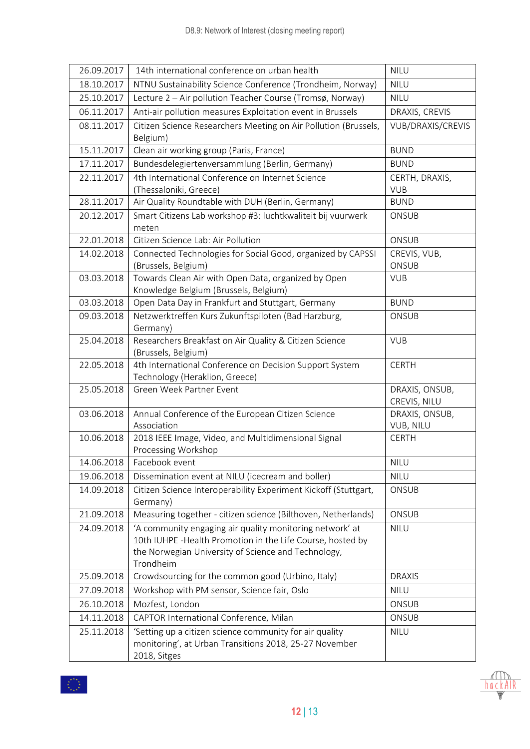| 26.09.2017 | 14th international conference on urban health                                                                                                                                               | <b>NILU</b>                    |
|------------|---------------------------------------------------------------------------------------------------------------------------------------------------------------------------------------------|--------------------------------|
| 18.10.2017 | NTNU Sustainability Science Conference (Trondheim, Norway)                                                                                                                                  | <b>NILU</b>                    |
| 25.10.2017 | Lecture 2 - Air pollution Teacher Course (Tromsø, Norway)                                                                                                                                   | <b>NILU</b>                    |
| 06.11.2017 | Anti-air pollution measures Exploitation event in Brussels                                                                                                                                  | DRAXIS, CREVIS                 |
| 08.11.2017 | Citizen Science Researchers Meeting on Air Pollution (Brussels,<br>Belgium)                                                                                                                 | VUB/DRAXIS/CREVIS              |
| 15.11.2017 | Clean air working group (Paris, France)                                                                                                                                                     | <b>BUND</b>                    |
| 17.11.2017 | Bundesdelegiertenversammlung (Berlin, Germany)                                                                                                                                              | <b>BUND</b>                    |
| 22.11.2017 | 4th International Conference on Internet Science                                                                                                                                            | CERTH, DRAXIS,                 |
|            | (Thessaloniki, Greece)                                                                                                                                                                      | <b>VUB</b>                     |
| 28.11.2017 | Air Quality Roundtable with DUH (Berlin, Germany)                                                                                                                                           | <b>BUND</b>                    |
| 20.12.2017 | Smart Citizens Lab workshop #3: luchtkwaliteit bij vuurwerk<br>meten                                                                                                                        | ONSUB                          |
| 22.01.2018 | Citizen Science Lab: Air Pollution                                                                                                                                                          | ONSUB                          |
| 14.02.2018 | Connected Technologies for Social Good, organized by CAPSSI<br>(Brussels, Belgium)                                                                                                          | CREVIS, VUB,<br>ONSUB          |
| 03.03.2018 | Towards Clean Air with Open Data, organized by Open<br>Knowledge Belgium (Brussels, Belgium)                                                                                                | <b>VUB</b>                     |
| 03.03.2018 | Open Data Day in Frankfurt and Stuttgart, Germany                                                                                                                                           | <b>BUND</b>                    |
| 09.03.2018 | Netzwerktreffen Kurs Zukunftspiloten (Bad Harzburg,<br>Germany)                                                                                                                             | ONSUB                          |
| 25.04.2018 | Researchers Breakfast on Air Quality & Citizen Science<br>(Brussels, Belgium)                                                                                                               | <b>VUB</b>                     |
| 22.05.2018 | 4th International Conference on Decision Support System<br>Technology (Heraklion, Greece)                                                                                                   | <b>CERTH</b>                   |
| 25.05.2018 | Green Week Partner Event                                                                                                                                                                    | DRAXIS, ONSUB,<br>CREVIS, NILU |
| 03.06.2018 | Annual Conference of the European Citizen Science<br>Association                                                                                                                            | DRAXIS, ONSUB,<br>VUB, NILU    |
| 10.06.2018 | 2018 IEEE Image, Video, and Multidimensional Signal<br>Processing Workshop                                                                                                                  | <b>CERTH</b>                   |
| 14.06.2018 | Facebook event                                                                                                                                                                              | <b>NILU</b>                    |
| 19.06.2018 | Dissemination event at NILU (icecream and boller)                                                                                                                                           | <b>NILU</b>                    |
| 14.09.2018 | Citizen Science Interoperability Experiment Kickoff (Stuttgart,<br>Germany)                                                                                                                 | ONSUB                          |
| 21.09.2018 | Measuring together - citizen science (Bilthoven, Netherlands)                                                                                                                               | ONSUB                          |
| 24.09.2018 | 'A community engaging air quality monitoring network' at<br>10th IUHPE - Health Promotion in the Life Course, hosted by<br>the Norwegian University of Science and Technology,<br>Trondheim | <b>NILU</b>                    |
| 25.09.2018 | Crowdsourcing for the common good (Urbino, Italy)                                                                                                                                           | <b>DRAXIS</b>                  |
| 27.09.2018 | Workshop with PM sensor, Science fair, Oslo                                                                                                                                                 | <b>NILU</b>                    |
| 26.10.2018 | Mozfest, London                                                                                                                                                                             | ONSUB                          |
| 14.11.2018 | CAPTOR International Conference, Milan                                                                                                                                                      | ONSUB                          |
| 25.11.2018 | 'Setting up a citizen science community for air quality<br>monitoring', at Urban Transitions 2018, 25-27 November<br>2018, Sitges                                                           | <b>NILU</b>                    |